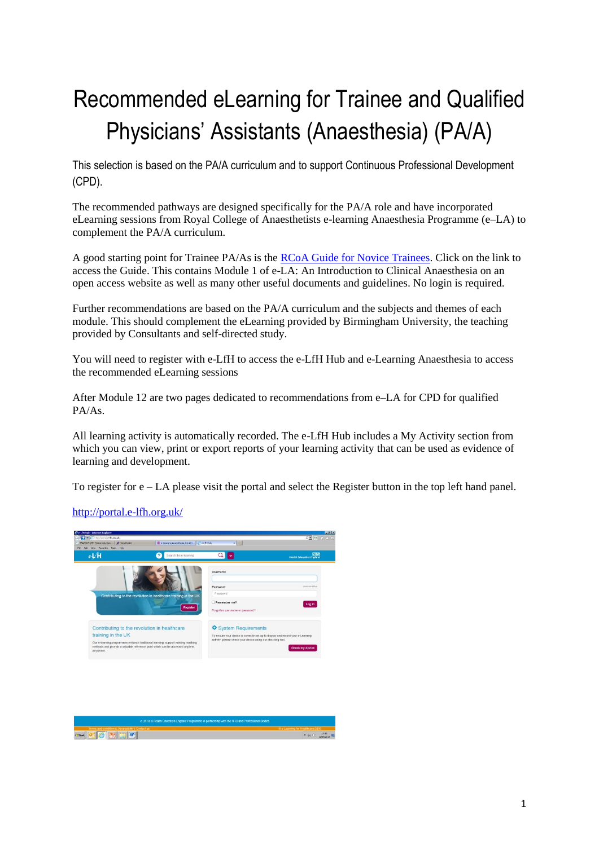# Recommended eLearning for Trainee and Qualified Physicians' Assistants (Anaesthesia) (PA/A)

This selection is based on the PA/A curriculum and to support Continuous Professional Development (CPD).

The recommended pathways are designed specifically for the PA/A role and have incorporated eLearning sessions from Royal College of Anaesthetists e-learning Anaesthesia Programme (e–LA) to complement the PA/A curriculum.

A good starting point for Trainee PA/As is the [RCoA Guide for Novice Trainees.](http://www.rcoa.ac.uk/careers-and-training/the-rcoa-guide-novice-trainees) Click on the link to access the Guide. This contains Module 1 of e-LA: An Introduction to Clinical Anaesthesia on an open access website as well as many other useful documents and guidelines. No login is required.

Further recommendations are based on the PA/A curriculum and the subjects and themes of each module. This should complement the eLearning provided by Birmingham University, the teaching provided by Consultants and self-directed study.

You will need to register with e-LfH to access the e-LfH Hub and e-Learning Anaesthesia to access the recommended eLearning sessions

After Module 12 are two pages dedicated to recommendations from e–LA for CPD for qualified PA/As.

All learning activity is automatically recorded. The e-LfH Hub includes a My Activity section from which you can view, print or export reports of your learning activity that can be used as evidence of learning and development.

To register for  $e - LA$  please visit the portal and select the Register button in the top left hand panel.

<http://portal.e-lfh.org.uk/>



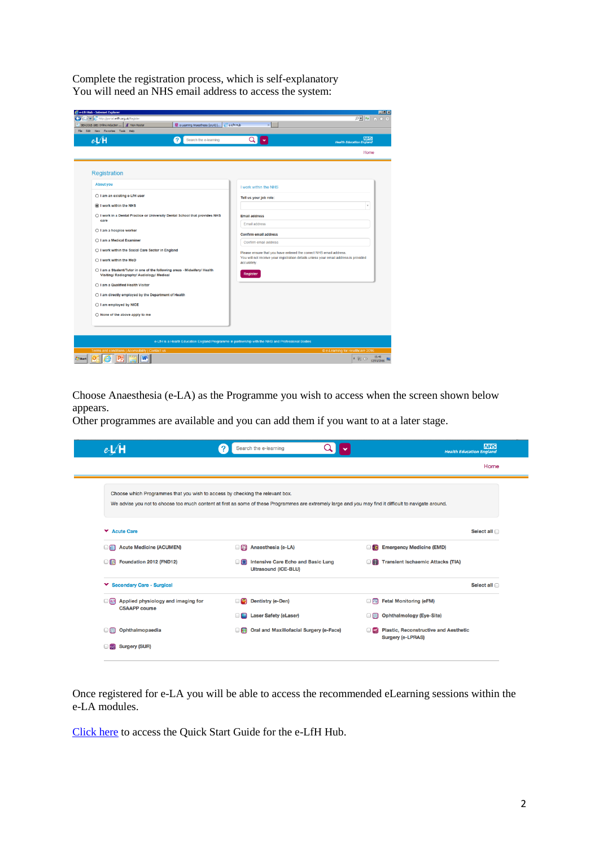Complete the registration process, which is self-explanatory You will need an NHS email address to access the system:

| e & http://portal.e-lfh.org.uk/Register                                                                               |                                               |                                                                                                   | □■ 与 合余章                                                                             |
|-----------------------------------------------------------------------------------------------------------------------|-----------------------------------------------|---------------------------------------------------------------------------------------------------|--------------------------------------------------------------------------------------|
| SEACOLE-16E: Online induction<br><b>A</b> View Roster<br>File Edit View Favorites Tools Help                          | e-Learning Anaesthesia (e-LA)     C e-LfH Hub |                                                                                                   |                                                                                      |
| $e$ -L $H$                                                                                                            | Search the e-learning<br>2                    | $\alpha$                                                                                          | <b>NHS</b><br><b>Health Education England</b>                                        |
|                                                                                                                       |                                               |                                                                                                   | Home                                                                                 |
| Registration                                                                                                          |                                               |                                                                                                   |                                                                                      |
| <b>About you</b>                                                                                                      |                                               | I work within the NHS                                                                             |                                                                                      |
| ○ I am an existing e-LfH user                                                                                         |                                               | Tell us your job role:                                                                            |                                                                                      |
| I work within the NHS                                                                                                 |                                               |                                                                                                   | $\;$                                                                                 |
| ○ I work in a Dental Practice or University Dental School that provides NHS<br>care                                   |                                               | <b>Email address</b><br>Email address                                                             |                                                                                      |
| ○ I am a hospice worker                                                                                               |                                               | <b>Confirm email address</b>                                                                      |                                                                                      |
| ○ I am a Medical Examiner                                                                                             |                                               | Confirm email address                                                                             |                                                                                      |
| ○ I work within the Social Care Sector in England<br>○ I work within the MoD                                          |                                               | Please ensure that you have entered the correct NHS email address.                                | You will not receive your registration details unless your email address is provided |
| ○ I am a Student/Tutor in one of the following areas - Midwifery/ Health<br>Visiting/ Radiography/ Audiology/ Medical |                                               | accurately.<br><b>Register</b>                                                                    |                                                                                      |
| ○ I am a Qualified Health Visitor                                                                                     |                                               |                                                                                                   |                                                                                      |
| ○ I am directly employed by the Department of Health                                                                  |                                               |                                                                                                   |                                                                                      |
| ○ I am employed by NICE                                                                                               |                                               |                                                                                                   |                                                                                      |
| $\bigcirc$ None of the above apply to me                                                                              |                                               |                                                                                                   |                                                                                      |
|                                                                                                                       |                                               |                                                                                                   |                                                                                      |
|                                                                                                                       |                                               | e-LfH is a Health Education England Programme in partnership with the NHS and Professional Bodies |                                                                                      |
| Terms and conditions   Accessibility   Contact us                                                                     |                                               |                                                                                                   | © e-Learning for Healthcare 2016                                                     |

Choose Anaesthesia (e-LA) as the Programme you wish to access when the screen shown below appears.

Other programmes are available and you can add them if you want to at a later stage.

| $e \mathbf{H}$                                                                                                                                          | Search the e-learning<br>?                                        |                                                       | <b>NHS</b><br><b>Health Education England</b>                            |
|---------------------------------------------------------------------------------------------------------------------------------------------------------|-------------------------------------------------------------------|-------------------------------------------------------|--------------------------------------------------------------------------|
|                                                                                                                                                         |                                                                   |                                                       | Home                                                                     |
| Choose which Programmes that you wish to access by checking the relevant box.                                                                           |                                                                   |                                                       |                                                                          |
| We advise you not to choose too much content at first as some of these Programmes are extremely large and you may find it difficult to navigate around. |                                                                   |                                                       |                                                                          |
| <b>Y</b> Acute Care                                                                                                                                     |                                                                   |                                                       | Select all                                                               |
| <b>Acute Medicine (ACUMEN)</b>                                                                                                                          | Anaesthesia (e-LA)<br>$\Box$ is $\Box$                            | <b>186</b>                                            | <b>Emergency Medicine (EMD)</b>                                          |
| <b>Foundation 2012 (FND12)</b>                                                                                                                          | Intensive Care Echo and Basic Lung<br><b>Ultrasound (ICE-BLU)</b> | $\Box$                                                | <b>Transient Ischaemic Attacks (TIA)</b>                                 |
| ▼ Secondary Care - Surgical                                                                                                                             |                                                                   |                                                       | Select all                                                               |
| Applied physiology and imaging for<br>$\Box$ FLF<br><b>CSAAPP</b> course                                                                                | Dentistry (e-Den)<br>ng                                           | $\Box$                                                | <b>Fetal Monitoring (eFM)</b>                                            |
|                                                                                                                                                         | <b>Laser Safety (eLaser)</b>                                      | OE                                                    | <b>Ophthalmology (Eye-Site)</b>                                          |
| Ophthalmopaedia<br>O FR                                                                                                                                 | $\Box$                                                            | Oral and Maxillofacial Surgery (e-Face)<br>$\Box$ and | <b>Plastic, Reconstructive and Aesthetic</b><br><b>Surgery (e-LPRAS)</b> |
| <b>Surgery (SUR)</b><br>$\blacksquare$                                                                                                                  |                                                                   |                                                       |                                                                          |

Once registered for e-LA you will be able to access the recommended eLearning sessions within the e-LA modules.

[Click here](http://support.e-lfh.org.uk/media/161597/e-lfh_quick_start_guide.pdf) to access the Quick Start Guide for the e-LfH Hub.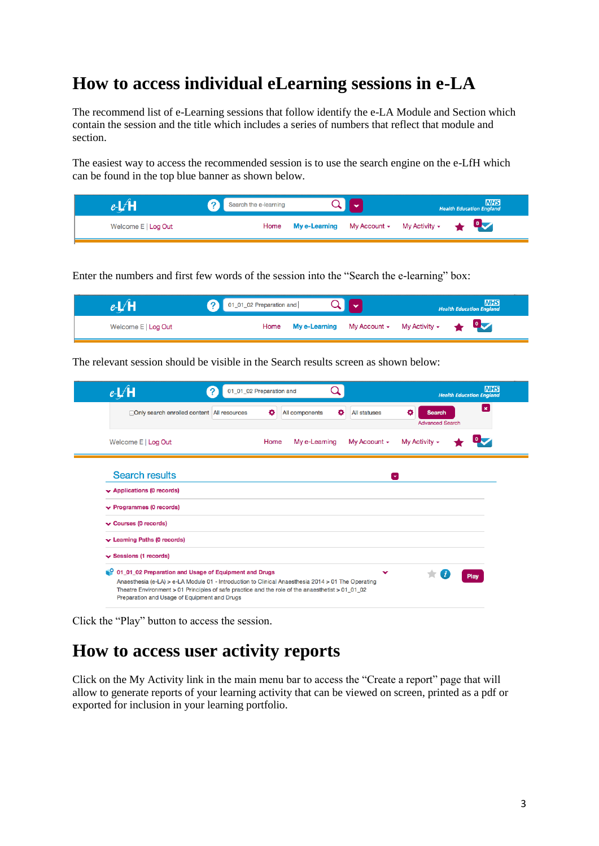### **How to access individual eLearning sessions in e-LA**

The recommend list of e-Learning sessions that follow identify the e-LA Module and Section which contain the session and the title which includes a series of numbers that reflect that module and section.

The easiest way to access the recommended session is to use the search engine on the e-LfH which can be found in the top blue banner as shown below.

|                     | Search the e-learning |                                                                                                       |  | <b>NHS</b><br><b>Health Education England</b> |
|---------------------|-----------------------|-------------------------------------------------------------------------------------------------------|--|-----------------------------------------------|
| Welcome E   Log Out | Home                  | My e-Learning My Account - My Activity - $\begin{array}{ccc} \bullet & \bullet & \bullet \end{array}$ |  |                                               |

Enter the numbers and first few words of the session into the "Search the e-learning" box:

|                     | 01_01_02 Preparation and |                                                    |  | <b>NHS</b><br><b>Health Education England</b> |
|---------------------|--------------------------|----------------------------------------------------|--|-----------------------------------------------|
| Welcome E   Log Out | Home                     | My e-Learning My Account $\sim$ My Activity $\sim$ |  |                                               |

The relevant session should be visible in the Search results screen as shown below:

| $e\sqrt{H}$                                                                                                                                                                                                                                                                                                       | 01_01_02 Preparation and |                     |                     |                                              | <b>NHS</b><br><b>Health Education England</b> |
|-------------------------------------------------------------------------------------------------------------------------------------------------------------------------------------------------------------------------------------------------------------------------------------------------------------------|--------------------------|---------------------|---------------------|----------------------------------------------|-----------------------------------------------|
| <b>Only search enrolled content All resources</b>                                                                                                                                                                                                                                                                 | ۰                        | ۰<br>All components | <b>All statuses</b> | ۰<br><b>Search</b><br><b>Advanced Search</b> | $\pmb{\times}$                                |
| Welcome E   Log Out                                                                                                                                                                                                                                                                                               | Home                     | My e-Learning       | My Account +        | My Activity $\sim$                           |                                               |
| <b>Search results</b>                                                                                                                                                                                                                                                                                             |                          |                     | [v]                 |                                              |                                               |
| $\rightarrow$ Applications (0 records)                                                                                                                                                                                                                                                                            |                          |                     |                     |                                              |                                               |
| $\blacktriangleright$ Programmes (0 records)                                                                                                                                                                                                                                                                      |                          |                     |                     |                                              |                                               |
| Courses (0 records)                                                                                                                                                                                                                                                                                               |                          |                     |                     |                                              |                                               |
| $\blacktriangleright$ Learning Paths (0 records)                                                                                                                                                                                                                                                                  |                          |                     |                     |                                              |                                               |
| $\vee$ Sessions (1 records)                                                                                                                                                                                                                                                                                       |                          |                     |                     |                                              |                                               |
| 0 01_01_02 Preparation and Usage of Equipment and Drugs<br>Anaesthesia (e-LA) > e-LA Module 01 - Introduction to Clinical Anaesthesia 2014 > 01 The Operating<br>Theatre Environment > 01 Principles of safe practice and the role of the anaesthetist > 01_01_02<br>Preparation and Usage of Equipment and Drugs |                          |                     |                     |                                              | Play                                          |

Click the "Play" button to access the session.

### **How to access user activity reports**

Click on the My Activity link in the main menu bar to access the "Create a report" page that will allow to generate reports of your learning activity that can be viewed on screen, printed as a pdf or exported for inclusion in your learning portfolio.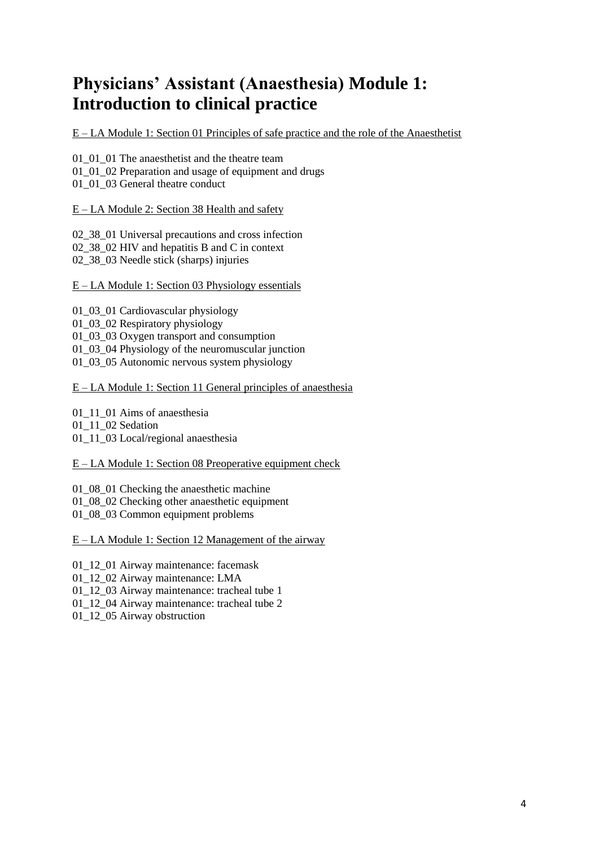# **Physicians' Assistant (Anaesthesia) Module 1: Introduction to clinical practice**

E – LA Module 1: Section 01 Principles of safe practice and the role of the Anaesthetist

01\_01\_01 The anaesthetist and the theatre team 01\_01\_02 Preparation and usage of equipment and drugs 01 01 03 General theatre conduct

E – LA Module 2: Section 38 Health and safety

02\_38\_01 Universal precautions and cross infection 02\_38\_02 HIV and hepatitis B and C in context 02\_38\_03 Needle stick (sharps) injuries

#### E – LA Module 1: Section 03 Physiology essentials

01\_03\_01 Cardiovascular physiology 01\_03\_02 Respiratory physiology 01\_03\_03 Oxygen transport and consumption 01\_03\_04 Physiology of the neuromuscular junction 01\_03\_05 Autonomic nervous system physiology

E – LA Module 1: Section 11 General principles of anaesthesia

01 11 01 Aims of anaesthesia

01 11 02 Sedation

01\_11\_03 Local/regional anaesthesia

E – LA Module 1: Section 08 Preoperative equipment check

01\_08\_01 Checking the anaesthetic machine

01\_08\_02 Checking other anaesthetic equipment

01\_08\_03 Common equipment problems

E – LA Module 1: Section 12 Management of the airway

01\_12\_01 Airway maintenance: facemask

01\_12\_02 Airway maintenance: LMA

01\_12\_03 Airway maintenance: tracheal tube 1

01\_12\_04 Airway maintenance: tracheal tube 2

01\_12\_05 Airway obstruction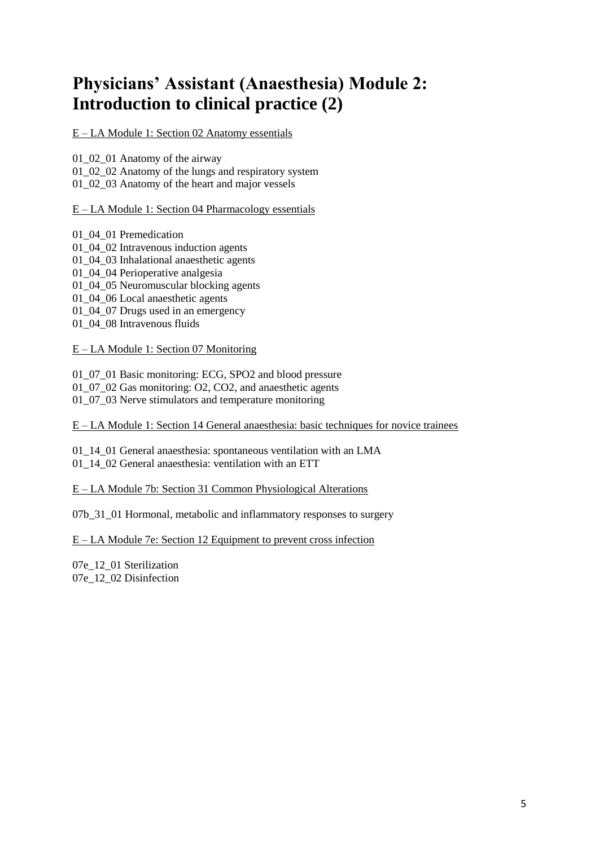# **Physicians' Assistant (Anaesthesia) Module 2: Introduction to clinical practice (2)**

E – LA Module 1: Section 02 Anatomy essentials

01\_02\_01 Anatomy of the airway

01\_02\_02 Anatomy of the lungs and respiratory system

01\_02\_03 Anatomy of the heart and major vessels

E – LA Module 1: Section 04 Pharmacology essentials

01\_04\_01 Premedication 01\_04\_02 Intravenous induction agents 01\_04\_03 Inhalational anaesthetic agents 01 04 04 Perioperative analgesia 01\_04\_05 Neuromuscular blocking agents 01\_04\_06 Local anaesthetic agents 01\_04\_07 Drugs used in an emergency 01\_04\_08 Intravenous fluids

E – LA Module 1: Section 07 Monitoring

01\_07\_01 Basic monitoring: ECG, SPO2 and blood pressure

01\_07\_02 Gas monitoring: O2, CO2, and anaesthetic agents

01\_07\_03 Nerve stimulators and temperature monitoring

E – LA Module 1: Section 14 General anaesthesia: basic techniques for novice trainees

01\_14\_01 General anaesthesia: spontaneous ventilation with an LMA 01\_14\_02 General anaesthesia: ventilation with an ETT

E – LA Module 7b: Section 31 Common Physiological Alterations

07b\_31\_01 Hormonal, metabolic and inflammatory responses to surgery

E – LA Module 7e: Section 12 Equipment to prevent cross infection

07e\_12\_01 Sterilization 07e\_12\_02 Disinfection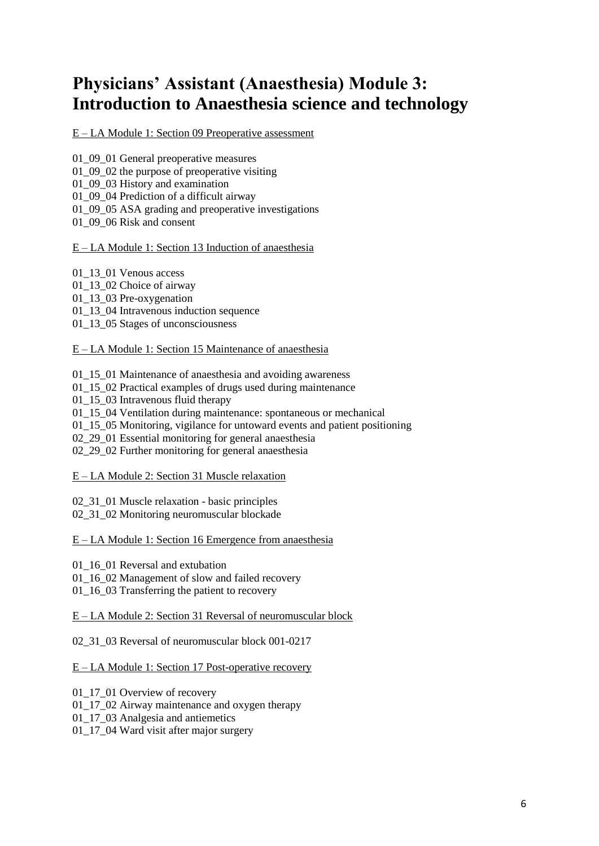### **Physicians' Assistant (Anaesthesia) Module 3: Introduction to Anaesthesia science and technology**

### E – LA Module 1: Section 09 Preoperative assessment

01\_09\_01 General preoperative measures

01\_09\_02 the purpose of preoperative visiting

01\_09\_03 History and examination

01\_09\_04 Prediction of a difficult airway

01\_09\_05 ASA grading and preoperative investigations

01 09 06 Risk and consent

#### E – LA Module 1: Section 13 Induction of anaesthesia

01\_13\_01 Venous access

01 13 02 Choice of airway

01 13 03 Pre-oxygenation

01\_13\_04 Intravenous induction sequence

01\_13\_05 Stages of unconsciousness

#### E – LA Module 1: Section 15 Maintenance of anaesthesia

01 15 01 Maintenance of anaesthesia and avoiding awareness

01\_15\_02 Practical examples of drugs used during maintenance

01 15 03 Intravenous fluid therapy

01\_15\_04 Ventilation during maintenance: spontaneous or mechanical

01\_15\_05 Monitoring, vigilance for untoward events and patient positioning

02\_29\_01 Essential monitoring for general anaesthesia

02\_29\_02 Further monitoring for general anaesthesia

E – LA Module 2: Section 31 Muscle relaxation

02\_31\_01 Muscle relaxation - basic principles

02\_31\_02 Monitoring neuromuscular blockade

E – LA Module 1: Section 16 Emergence from anaesthesia

01 16 01 Reversal and extubation

01 16 02 Management of slow and failed recovery

01 16 03 Transferring the patient to recovery

E – LA Module 2: Section 31 Reversal of neuromuscular block

02\_31\_03 Reversal of neuromuscular block 001-0217

E – LA Module 1: Section 17 Post-operative recovery

01\_17\_01 Overview of recovery

01 17 02 Airway maintenance and oxygen therapy

01\_17\_03 Analgesia and antiemetics

01\_17\_04 Ward visit after major surgery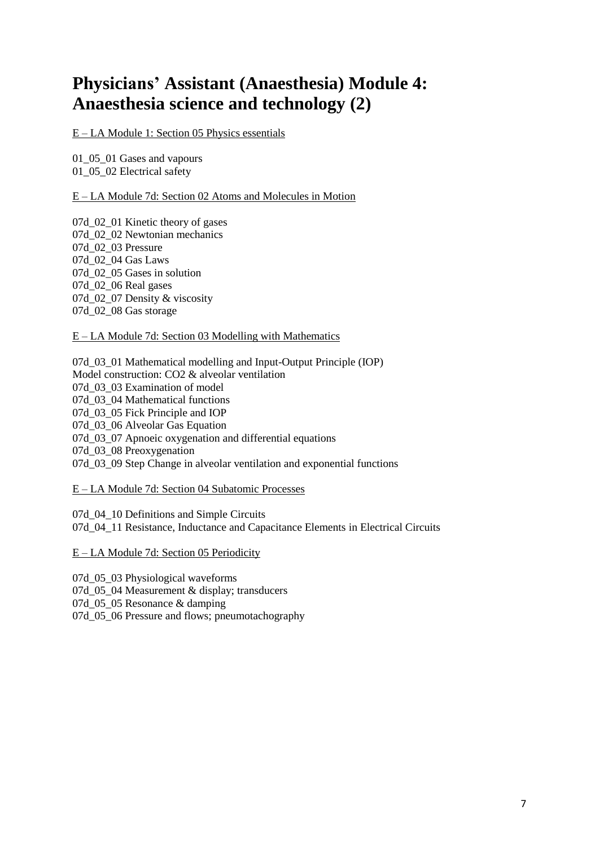# **Physicians' Assistant (Anaesthesia) Module 4: Anaesthesia science and technology (2)**

E – LA Module 1: Section 05 Physics essentials

01\_05\_01 Gases and vapours 01\_05\_02 Electrical safety

E – LA Module 7d: Section 02 Atoms and Molecules in Motion

07d 02 01 Kinetic theory of gases 07d\_02\_02 Newtonian mechanics 07d\_02\_03 Pressure 07d\_02\_04 Gas Laws 07d\_02\_05 Gases in solution 07d\_02\_06 Real gases 07d 02 07 Density & viscosity 07d\_02\_08 Gas storage

E – LA Module 7d: Section 03 Modelling with Mathematics

07d\_03\_01 Mathematical modelling and Input-Output Principle (IOP) Model construction: CO2 & alveolar ventilation 07d\_03\_03 Examination of model 07d\_03\_04 Mathematical functions 07d 03 05 Fick Principle and IOP 07d\_03\_06 Alveolar Gas Equation 07d 03 07 Apnoeic oxygenation and differential equations 07d 03 08 Preoxygenation 07d\_03\_09 Step Change in alveolar ventilation and exponential functions

#### E – LA Module 7d: Section 04 Subatomic Processes

07d 04 10 Definitions and Simple Circuits 07d 04 11 Resistance, Inductance and Capacitance Elements in Electrical Circuits

E – LA Module 7d: Section 05 Periodicity

07d\_05\_03 Physiological waveforms 07d 05 04 Measurement & display; transducers 07d 05 05 Resonance & damping 07d\_05\_06 Pressure and flows; pneumotachography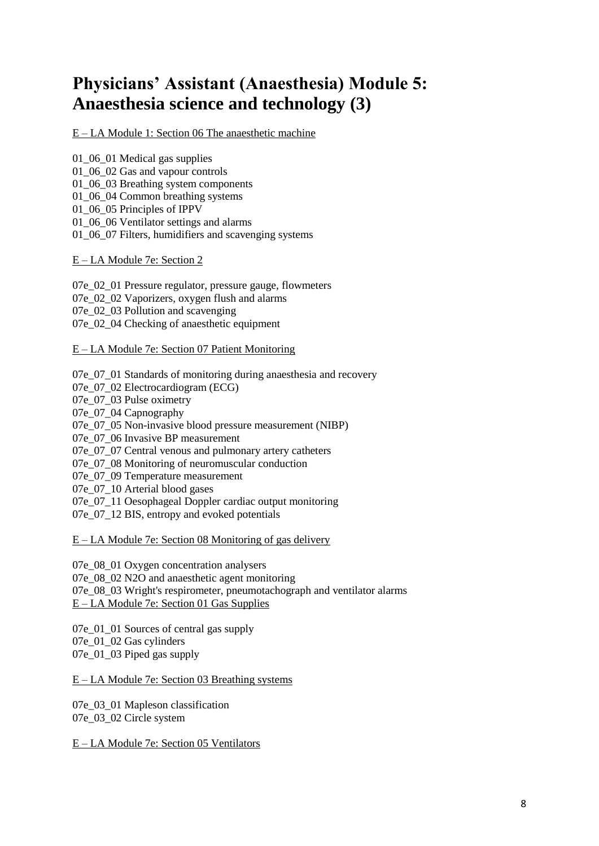# **Physicians' Assistant (Anaesthesia) Module 5: Anaesthesia science and technology (3)**

E – LA Module 1: Section 06 The anaesthetic machine

01\_06\_01 Medical gas supplies 01\_06\_02 Gas and vapour controls

01\_06\_03 Breathing system components

01\_06\_04 Common breathing systems

01\_06\_05 Principles of IPPV

01\_06\_06 Ventilator settings and alarms

01\_06\_07 Filters, humidifiers and scavenging systems

E – LA Module 7e: Section 2

07e\_02\_01 Pressure regulator, pressure gauge, flowmeters 07e 02 02 Vaporizers, oxygen flush and alarms 07e 02 03 Pollution and scavenging 07e\_02\_04 Checking of anaesthetic equipment

#### E – LA Module 7e: Section 07 Patient Monitoring

07e 07 01 Standards of monitoring during anaesthesia and recovery 07e\_07\_02 Electrocardiogram (ECG) 07e\_07\_03 Pulse oximetry 07e\_07\_04 Capnography 07e 07\_05 Non-invasive blood pressure measurement (NIBP) 07e 07 06 Invasive BP measurement 07e 07 07 Central venous and pulmonary artery catheters 07e 07 08 Monitoring of neuromuscular conduction 07e 07 09 Temperature measurement 07e 07<sub>\_10</sub> Arterial blood gases 07e\_07\_11 Oesophageal Doppler cardiac output monitoring 07e 07 12 BIS, entropy and evoked potentials

E – LA Module 7e: Section 08 Monitoring of gas delivery

07e\_08\_01 Oxygen concentration analysers 07e 08 02 N2O and anaesthetic agent monitoring 07e 08 03 Wright's respirometer, pneumotachograph and ventilator alarms E – LA Module 7e: Section 01 Gas Supplies

07e 01 01 Sources of central gas supply 07e\_01\_02 Gas cylinders 07e 01 03 Piped gas supply

E – LA Module 7e: Section 03 Breathing systems

07e 03 01 Mapleson classification 07e\_03\_02 Circle system

E – LA Module 7e: Section 05 Ventilators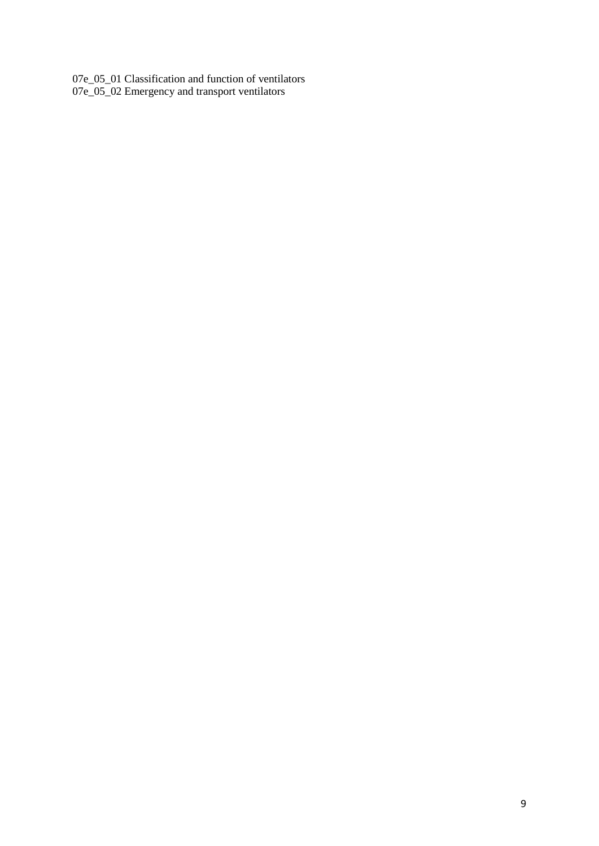07e\_05\_01 Classification and function of ventilators 07e\_05\_02 Emergency and transport ventilators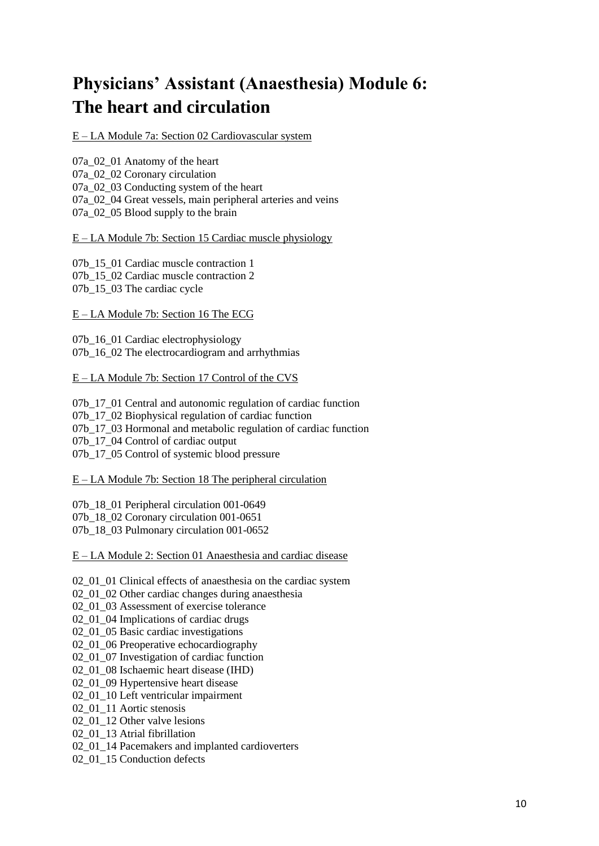# **Physicians' Assistant (Anaesthesia) Module 6: The heart and circulation**

E – LA Module 7a: Section 02 Cardiovascular system

07a\_02\_01 Anatomy of the heart 07a\_02\_02 Coronary circulation 07a\_02\_03 Conducting system of the heart 07a 02 04 Great vessels, main peripheral arteries and veins 07a\_02\_05 Blood supply to the brain

E – LA Module 7b: Section 15 Cardiac muscle physiology

07b 15\_01 Cardiac muscle contraction 1 07b 15\_02 Cardiac muscle contraction 2 07b\_15\_03 The cardiac cycle

E – LA Module 7b: Section 16 The ECG

07b 16 01 Cardiac electrophysiology 07b 16, 02 The electrocardiogram and arrhythmias

E – LA Module 7b: Section 17 Control of the CVS

07b 17, 01 Central and autonomic regulation of cardiac function 07b 17\_02 Biophysical regulation of cardiac function 07b 17, 03 Hormonal and metabolic regulation of cardiac function 07b 17 04 Control of cardiac output 07b 17\_05 Control of systemic blood pressure

E – LA Module 7b: Section 18 The peripheral circulation

07b\_18\_01 Peripheral circulation 001-0649 07b\_18\_02 Coronary circulation 001-0651 07b\_18\_03 Pulmonary circulation 001-0652

E – LA Module 2: Section 01 Anaesthesia and cardiac disease

02 01 01 Clinical effects of anaesthesia on the cardiac system

02\_01\_02 Other cardiac changes during anaesthesia

02 01 03 Assessment of exercise tolerance

02\_01\_04 Implications of cardiac drugs

02 01 05 Basic cardiac investigations

02\_01\_06 Preoperative echocardiography

02\_01\_07 Investigation of cardiac function

02\_01\_08 Ischaemic heart disease (IHD)

02 01 09 Hypertensive heart disease

02\_01\_10 Left ventricular impairment

02\_01\_11 Aortic stenosis

02 01 12 Other valve lesions

02\_01\_13 Atrial fibrillation

02\_01\_14 Pacemakers and implanted cardioverters

02 01 15 Conduction defects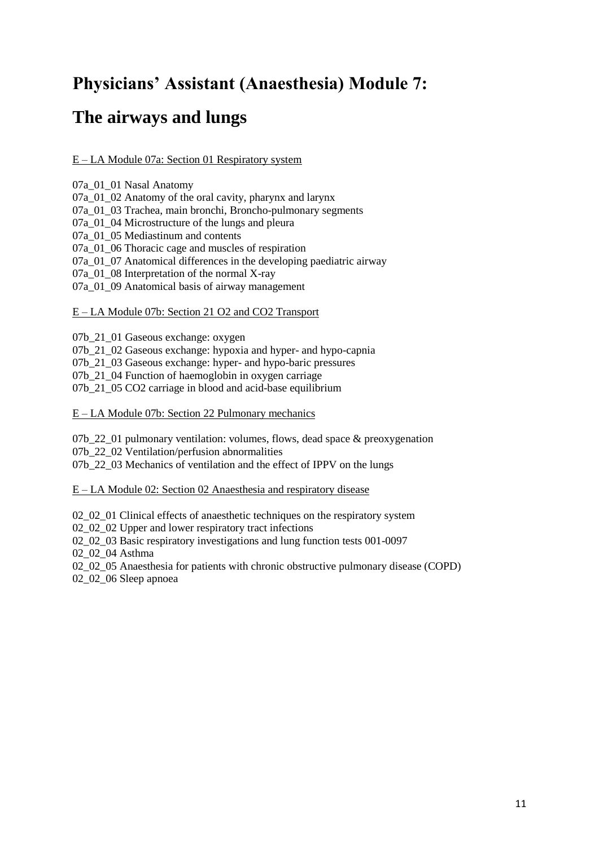### **Physicians' Assistant (Anaesthesia) Module 7:**

### **The airways and lungs**

### E – LA Module 07a: Section 01 Respiratory system

07a\_01\_01 Nasal Anatomy

07a\_01\_02 Anatomy of the oral cavity, pharynx and larynx

07a\_01\_03 Trachea, main bronchi, Broncho-pulmonary segments

07a 01 04 Microstructure of the lungs and pleura

07a\_01\_05 Mediastinum and contents

07a 01 06 Thoracic cage and muscles of respiration

07a 01 07 Anatomical differences in the developing paediatric airway

07a 01 08 Interpretation of the normal X-ray

07a 01 09 Anatomical basis of airway management

#### E – LA Module 07b: Section 21 O2 and CO2 Transport

07b\_21\_01 Gaseous exchange: oxygen

07b 21\_02 Gaseous exchange: hypoxia and hyper- and hypo-capnia

07b\_21\_03 Gaseous exchange: hyper- and hypo-baric pressures

07b 21\_04 Function of haemoglobin in oxygen carriage

07b\_21\_05 CO2 carriage in blood and acid-base equilibrium

E – LA Module 07b: Section 22 Pulmonary mechanics

07b 22 01 pulmonary ventilation: volumes, flows, dead space  $\&$  preoxygenation 07b\_22\_02 Ventilation/perfusion abnormalities

07b 22 03 Mechanics of ventilation and the effect of IPPV on the lungs

#### E – LA Module 02: Section 02 Anaesthesia and respiratory disease

02 02 01 Clinical effects of anaesthetic techniques on the respiratory system

02\_02\_02 Upper and lower respiratory tract infections

02\_02\_03 Basic respiratory investigations and lung function tests 001-0097

02\_02\_04 Asthma

02 02 05 Anaesthesia for patients with chronic obstructive pulmonary disease (COPD)

02\_02\_06 Sleep apnoea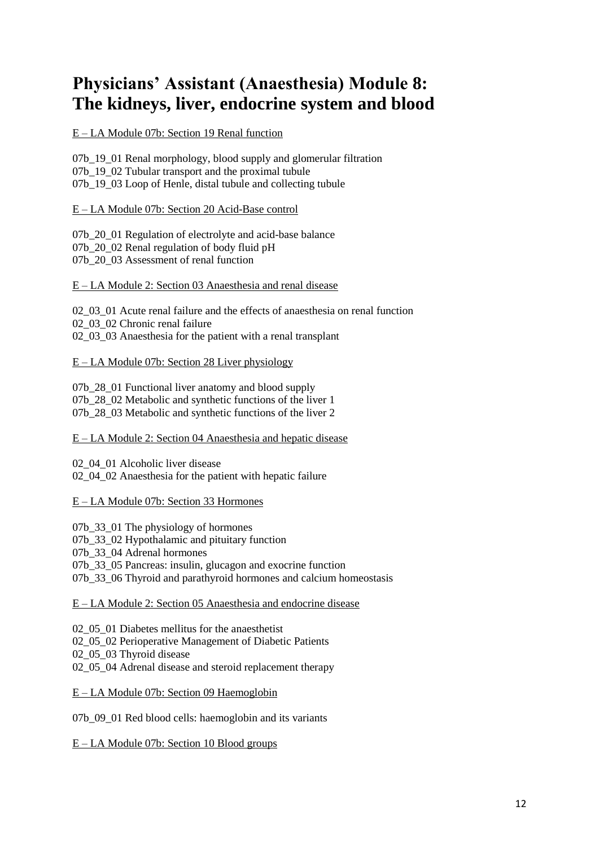# **Physicians' Assistant (Anaesthesia) Module 8: The kidneys, liver, endocrine system and blood**

### E – LA Module 07b: Section 19 Renal function

07b\_19\_01 Renal morphology, blood supply and glomerular filtration 07b 19 02 Tubular transport and the proximal tubule 07b 19 03 Loop of Henle, distal tubule and collecting tubule

E – LA Module 07b: Section 20 Acid-Base control

07b 20 01 Regulation of electrolyte and acid-base balance 07b\_20\_02 Renal regulation of body fluid pH 07b 20, 03 Assessment of renal function

E – LA Module 2: Section 03 Anaesthesia and renal disease

02 03 01 Acute renal failure and the effects of anaesthesia on renal function 02 03 02 Chronic renal failure 02 03 03 Anaesthesia for the patient with a renal transplant

### E – LA Module 07b: Section 28 Liver physiology

07b\_28\_01 Functional liver anatomy and blood supply 07b 28 02 Metabolic and synthetic functions of the liver 1 07b 28 03 Metabolic and synthetic functions of the liver 2

E – LA Module 2: Section 04 Anaesthesia and hepatic disease

02 04 01 Alcoholic liver disease 02\_04\_02 Anaesthesia for the patient with hepatic failure

### E – LA Module 07b: Section 33 Hormones

07b 33 01 The physiology of hormones 07b 33 02 Hypothalamic and pituitary function 07b\_33\_04 Adrenal hormones 07b 33\_05 Pancreas: insulin, glucagon and exocrine function 07b 33 06 Thyroid and parathyroid hormones and calcium homeostasis

E – LA Module 2: Section 05 Anaesthesia and endocrine disease

02\, 05\, 01 Diabetes mellitus for the anaesthetist 02 05 02 Perioperative Management of Diabetic Patients 02 05 03 Thyroid disease 02\_05\_04 Adrenal disease and steroid replacement therapy

E – LA Module 07b: Section 09 Haemoglobin

07b\_09\_01 Red blood cells: haemoglobin and its variants

E – LA Module 07b: Section 10 Blood groups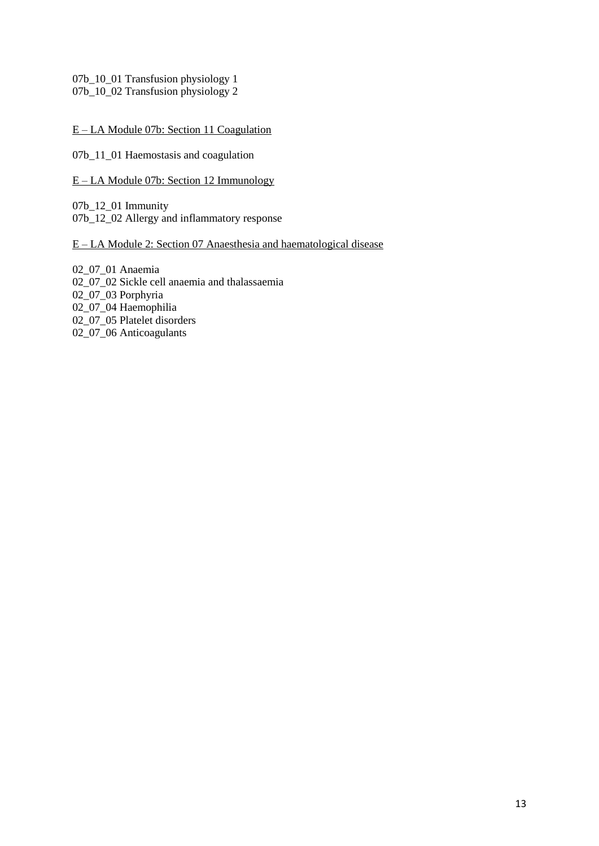07b 10\_01 Transfusion physiology 1 07b\_10\_02 Transfusion physiology 2

E – LA Module 07b: Section 11 Coagulation

07b\_11\_01 Haemostasis and coagulation

E – LA Module 07b: Section 12 Immunology

07b\_12\_01 Immunity 07b\_12\_02 Allergy and inflammatory response

E – LA Module 2: Section 07 Anaesthesia and haematological disease

02\_07\_01 Anaemia 02\_07\_02 Sickle cell anaemia and thalassaemia 02\_07\_03 Porphyria  $02$ <sup>-</sup> $07$ <sup>-04</sup> Haemophilia 02\_07\_05 Platelet disorders 02\_07\_06 Anticoagulants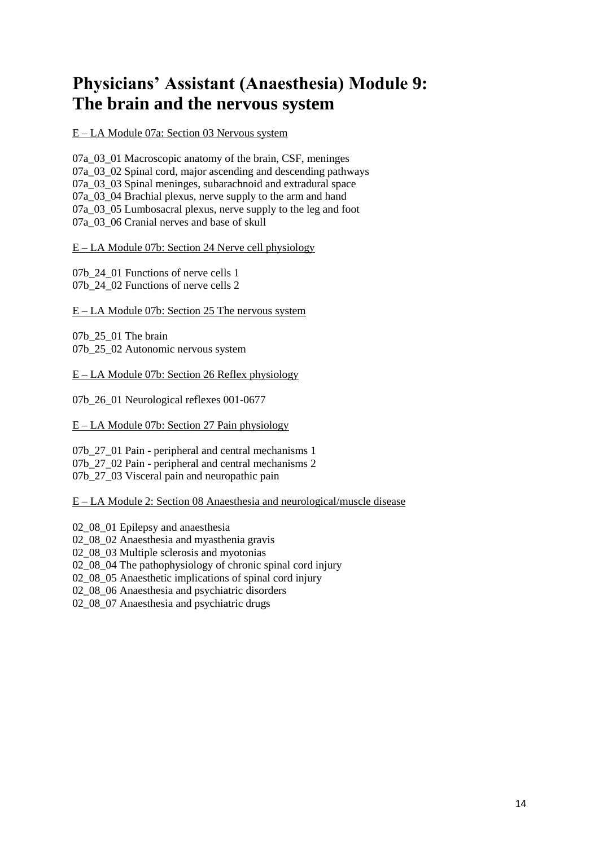## **Physicians' Assistant (Anaesthesia) Module 9: The brain and the nervous system**

E – LA Module 07a: Section 03 Nervous system

07a\_03\_01 Macroscopic anatomy of the brain, CSF, meninges 07a 03 02 Spinal cord, major ascending and descending pathways 07a 03 03 Spinal meninges, subarachnoid and extradural space 07a\_03\_04 Brachial plexus, nerve supply to the arm and hand 07a\_03\_05 Lumbosacral plexus, nerve supply to the leg and foot 07a\_03\_06 Cranial nerves and base of skull

#### E – LA Module 07b: Section 24 Nerve cell physiology

07b 24 01 Functions of nerve cells 1 07b 24 02 Functions of nerve cells 2

E – LA Module 07b: Section 25 The nervous system

07b\_25\_01 The brain 07b\_25\_02 Autonomic nervous system

E – LA Module 07b: Section 26 Reflex physiology

07b\_26\_01 Neurological reflexes 001-0677

E – LA Module 07b: Section 27 Pain physiology

07b 27 01 Pain - peripheral and central mechanisms 1 07b\_27\_02 Pain - peripheral and central mechanisms 2 07b\_27\_03 Visceral pain and neuropathic pain

E – LA Module 2: Section 08 Anaesthesia and neurological/muscle disease

02 08 01 Epilepsy and anaesthesia

02\_08\_02 Anaesthesia and myasthenia gravis

02\_08\_03 Multiple sclerosis and myotonias

02\_08\_04 The pathophysiology of chronic spinal cord injury

02 08 05 Anaesthetic implications of spinal cord injury

02\_08\_06 Anaesthesia and psychiatric disorders

02 08 07 Anaesthesia and psychiatric drugs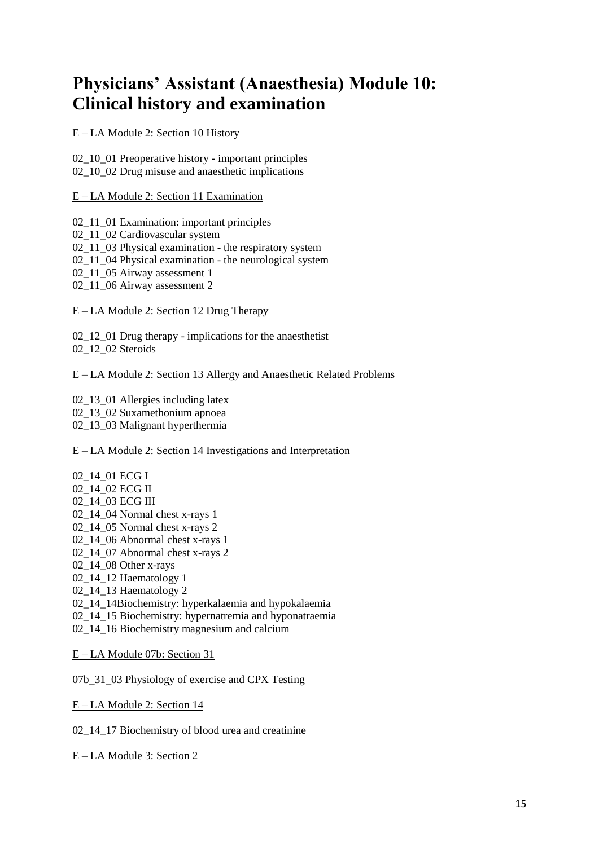### **Physicians' Assistant (Anaesthesia) Module 10: Clinical history and examination**

E – LA Module 2: Section 10 History

02\_10\_01 Preoperative history - important principles 02 10 02 Drug misuse and anaesthetic implications

E – LA Module 2: Section 11 Examination

02 11 01 Examination: important principles

02\_11\_02 Cardiovascular system

02\_11\_03 Physical examination - the respiratory system

02\_11\_04 Physical examination - the neurological system

02 11 05 Airway assessment 1

02 11 06 Airway assessment 2

E – LA Module 2: Section 12 Drug Therapy

02 12 01 Drug therapy - implications for the anaesthetist 02 12 02 Steroids

E – LA Module 2: Section 13 Allergy and Anaesthetic Related Problems

02\_13\_01 Allergies including latex 02\_13\_02 Suxamethonium apnoea 02\_13\_03 Malignant hyperthermia

E – LA Module 2: Section 14 Investigations and Interpretation

02\_14\_01 ECG I 02\_14\_02 ECG II 02\_14\_03 ECG III 02\_14\_04 Normal chest x-rays 1 02\_14\_05 Normal chest x-rays 2 02\_14\_06 Abnormal chest x-rays 1 02 14 07 Abnormal chest x-rays 2 02\_14\_08 Other x-rays 02 14 12 Haematology 1 02\_14\_13 Haematology 2 02\_14\_14Biochemistry: hyperkalaemia and hypokalaemia 02\_14\_15 Biochemistry: hypernatremia and hyponatraemia

02\_14\_16 Biochemistry magnesium and calcium

E – LA Module 07b: Section 31

07b 31 03 Physiology of exercise and CPX Testing

E – LA Module 2: Section 14

02\_14\_17 Biochemistry of blood urea and creatinine

E – LA Module 3: Section 2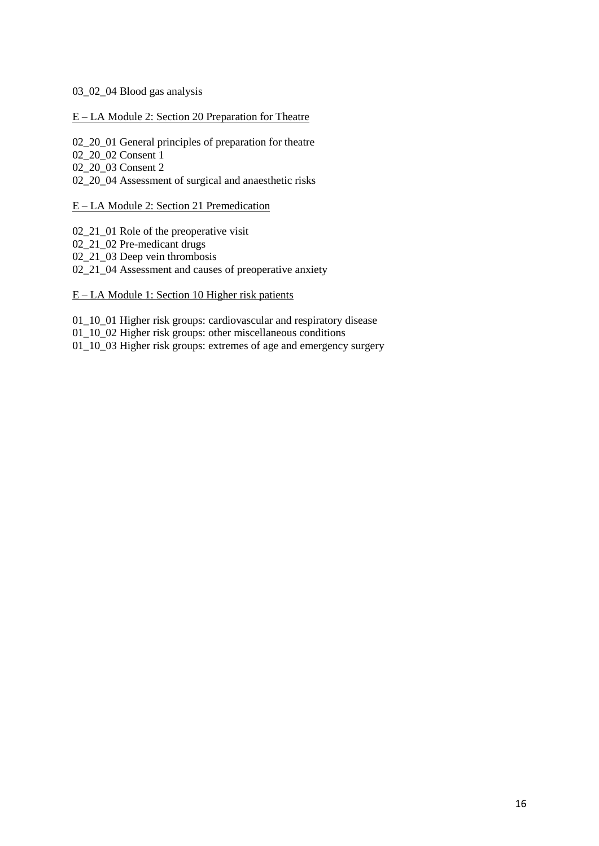#### 03\_02\_04 Blood gas analysis

#### E – LA Module 2: Section 20 Preparation for Theatre

02\_20\_01 General principles of preparation for theatre

02 20 02 Consent 1

02\_20\_03 Consent 2

02\_20\_04 Assessment of surgical and anaesthetic risks

#### E – LA Module 2: Section 21 Premedication

02\_21\_01 Role of the preoperative visit

02\_21\_02 Pre-medicant drugs

02\_21\_03 Deep vein thrombosis

02 21 04 Assessment and causes of preoperative anxiety

### E – LA Module 1: Section 10 Higher risk patients

01\_10\_01 Higher risk groups: cardiovascular and respiratory disease 01\_10\_02 Higher risk groups: other miscellaneous conditions 01\_10\_03 Higher risk groups: extremes of age and emergency surgery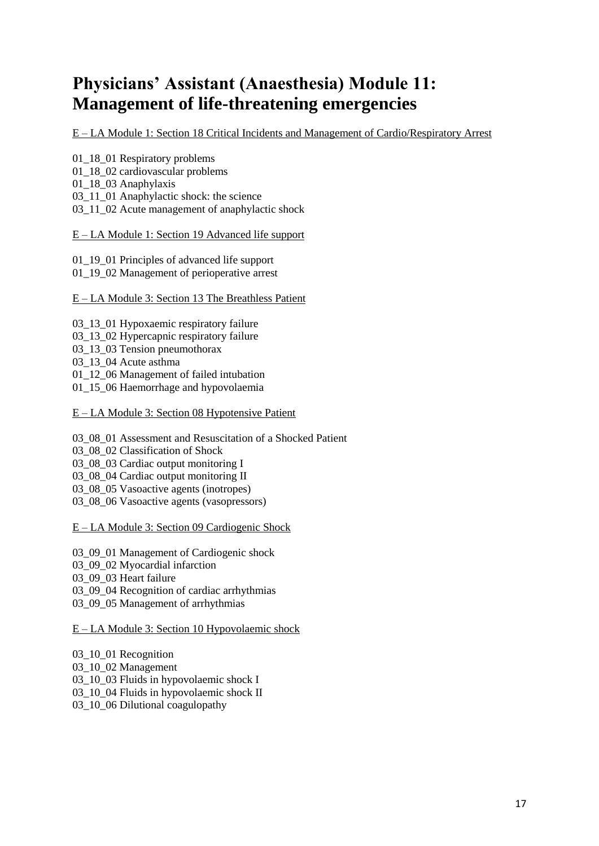# **Physicians' Assistant (Anaesthesia) Module 11: Management of life-threatening emergencies**

E – LA Module 1: Section 18 Critical Incidents and Management of Cardio/Respiratory Arrest

01\_18\_01 Respiratory problems 01\_18\_02 cardiovascular problems 01\_18\_03 Anaphylaxis 03\_11\_01 Anaphylactic shock: the science 03\_11\_02 Acute management of anaphylactic shock

E – LA Module 1: Section 19 Advanced life support

01\_19\_01 Principles of advanced life support 01 19 02 Management of perioperative arrest

E – LA Module 3: Section 13 The Breathless Patient

03\_13\_01 Hypoxaemic respiratory failure

- 03\_13\_02 Hypercapnic respiratory failure
- 03 13 03 Tension pneumothorax
- 03\_13\_04 Acute asthma

01\_12\_06 Management of failed intubation

01\_15\_06 Haemorrhage and hypovolaemia

E – LA Module 3: Section 08 Hypotensive Patient

- 03 08 01 Assessment and Resuscitation of a Shocked Patient
- 03\_08\_02 Classification of Shock
- 03\_08\_03 Cardiac output monitoring I
- 03 08 04 Cardiac output monitoring II
- 03\_08\_05 Vasoactive agents (inotropes)
- 03\_08\_06 Vasoactive agents (vasopressors)

E – LA Module 3: Section 09 Cardiogenic Shock

03\_09\_01 Management of Cardiogenic shock

03\_09\_02 Myocardial infarction

03 09 03 Heart failure

03 09 04 Recognition of cardiac arrhythmias

03 09 05 Management of arrhythmias

E – LA Module 3: Section 10 Hypovolaemic shock

03 10 01 Recognition 03\_10\_02 Management 03 10 03 Fluids in hypovolaemic shock I 03\_10\_04 Fluids in hypovolaemic shock II 03 10 06 Dilutional coagulopathy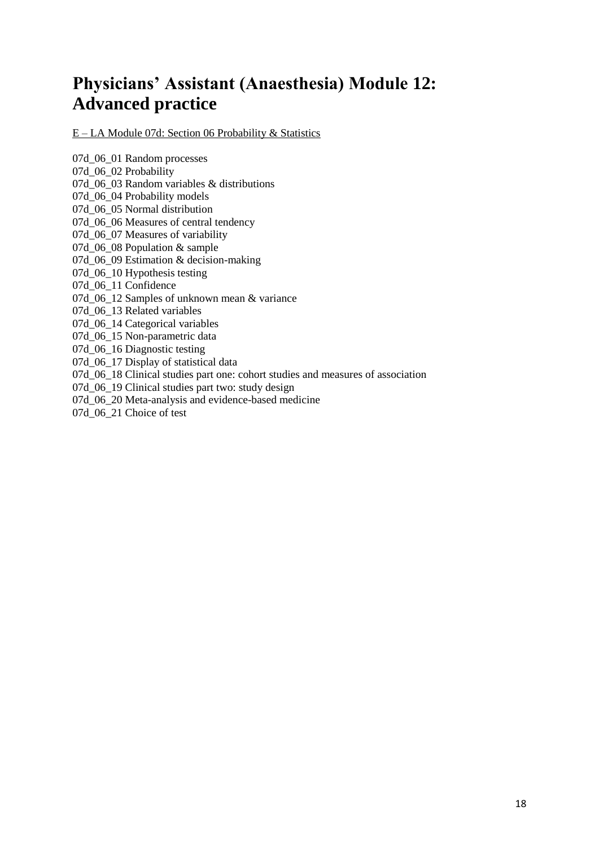# **Physicians' Assistant (Anaesthesia) Module 12: Advanced practice**

E – LA Module 07d: Section 06 Probability & Statistics

07d\_06\_01 Random processes 07d\_06\_02 Probability 07d 06 03 Random variables & distributions 07d\_06\_04 Probability models 07d\_06\_05 Normal distribution 07d 06 06 Measures of central tendency 07d 06 07 Measures of variability 07d\_06\_08 Population & sample 07d 06 09 Estimation & decision-making 07d\_06\_10 Hypothesis testing 07d\_06\_11 Confidence 07d 06 12 Samples of unknown mean & variance 07d\_06\_13 Related variables 07d\_06\_14 Categorical variables 07d\_06\_15 Non-parametric data 07d\_06\_16 Diagnostic testing 07d\_06\_17 Display of statistical data 07d 06 18 Clinical studies part one: cohort studies and measures of association 07d\_06\_19 Clinical studies part two: study design 07d\_06\_20 Meta-analysis and evidence-based medicine 07d 06 21 Choice of test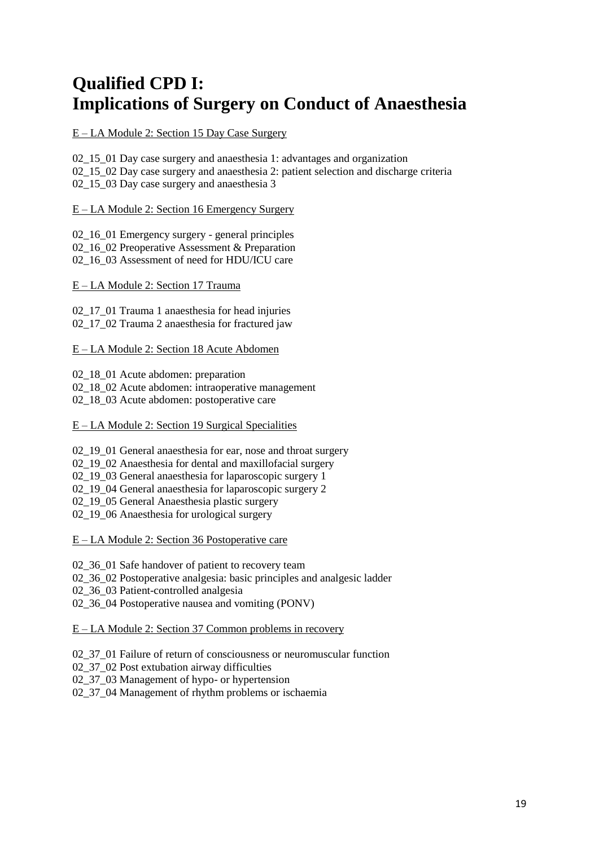# **Qualified CPD I: Implications of Surgery on Conduct of Anaesthesia**

E – LA Module 2: Section 15 Day Case Surgery

02\_15\_01 Day case surgery and anaesthesia 1: advantages and organization 02 15 02 Day case surgery and anaesthesia 2: patient selection and discharge criteria 02 15 03 Day case surgery and anaesthesia 3

E – LA Module 2: Section 16 Emergency Surgery

02\_16\_01 Emergency surgery - general principles 02\_16\_02 Preoperative Assessment & Preparation 02 16 03 Assessment of need for HDU/ICU care

E – LA Module 2: Section 17 Trauma

02\_17\_01 Trauma 1 anaesthesia for head injuries 02\_17\_02 Trauma 2 anaesthesia for fractured jaw

#### E – LA Module 2: Section 18 Acute Abdomen

02 18 01 Acute abdomen: preparation

02\_18\_02 Acute abdomen: intraoperative management

02\_18\_03 Acute abdomen: postoperative care

E – LA Module 2: Section 19 Surgical Specialities

02 19 01 General anaesthesia for ear, nose and throat surgery

02\_19\_02 Anaesthesia for dental and maxillofacial surgery

02 19 03 General anaesthesia for laparoscopic surgery 1

02\_19\_04 General anaesthesia for laparoscopic surgery 2

02\_19\_05 General Anaesthesia plastic surgery

02 19 06 Anaesthesia for urological surgery

E – LA Module 2: Section 36 Postoperative care

02\_36\_01 Safe handover of patient to recovery team

02\_36\_02 Postoperative analgesia: basic principles and analgesic ladder

02 36 03 Patient-controlled analgesia

02\_36\_04 Postoperative nausea and vomiting (PONV)

E – LA Module 2: Section 37 Common problems in recovery

02 37 01 Failure of return of consciousness or neuromuscular function

02\_37\_02 Post extubation airway difficulties

02 37 03 Management of hypo- or hypertension

02 37 04 Management of rhythm problems or ischaemia